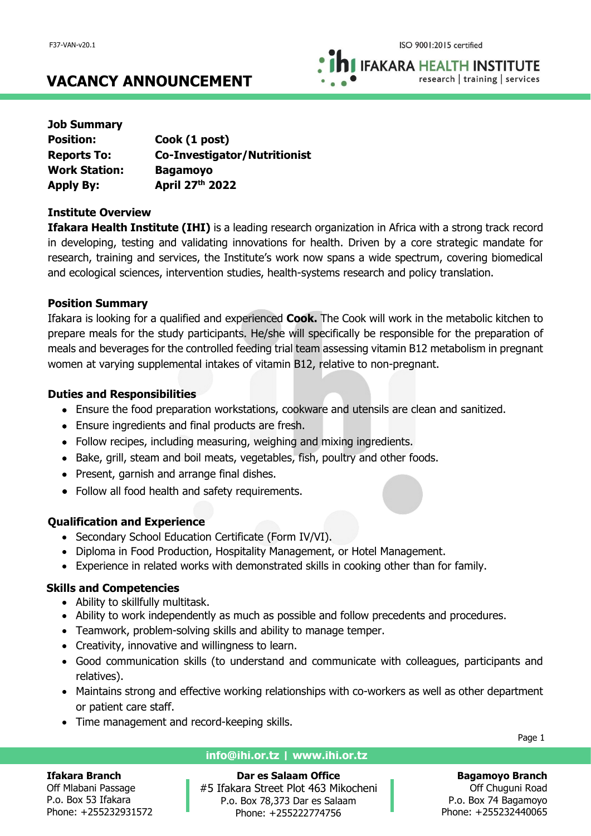**IFAKARA HEALTH INSTITUTE** research | training | services

# **VACANCY ANNOUNCEMENT**

| <b>Job Summary</b>   |                                     |
|----------------------|-------------------------------------|
| <b>Position:</b>     | Cook (1 post)                       |
| <b>Reports To:</b>   | <b>Co-Investigator/Nutritionist</b> |
| <b>Work Station:</b> | <b>Bagamoyo</b>                     |
| <b>Apply By:</b>     | April 27th 2022                     |

#### **Institute Overview**

**Ifakara Health Institute (IHI)** is a leading research organization in Africa with a strong track record in developing, testing and validating innovations for health. Driven by a core strategic mandate for research, training and services, the Institute's work now spans a wide spectrum, covering biomedical and ecological sciences, intervention studies, health-systems research and policy translation.

#### **Position Summary**

Ifakara is looking for a qualified and experienced **Cook.** The Cook will work in the metabolic kitchen to prepare meals for the study participants. He/she will specifically be responsible for the preparation of meals and beverages for the controlled feeding trial team assessing vitamin B12 metabolism in pregnant women at varying supplemental intakes of vitamin B12, relative to non-pregnant.

# **Duties and Responsibilities**

- Ensure the food preparation workstations, cookware and utensils are clean and sanitized.
- Ensure ingredients and final products are fresh.
- Follow recipes, including measuring, weighing and mixing ingredients.
- Bake, grill, steam and boil meats, vegetables, fish, poultry and other foods.
- Present, garnish and arrange final dishes.
- Follow all food health and safety requirements.

# **Qualification and Experience**

- Secondary School Education Certificate (Form IV/VI).
- Diploma in Food Production, Hospitality Management, or Hotel Management.
- Experience in related works with demonstrated skills in cooking other than for family.

# **Skills and Competencies**

- Ability to skillfully multitask.
- Ability to work independently as much as possible and follow precedents and procedures.
- Teamwork, problem-solving skills and ability to manage temper.
- Creativity, innovative and willingness to learn.
- Good communication skills (to understand and communicate with colleagues, participants and relatives).
- Maintains strong and effective working relationships with co-workers as well as other department or patient care staff.
- Time management and record-keeping skills.

#### **Ifakara Branch**

Off Mlabani Passage P.o. Box 53 Ifakara Phone: +255232931572

# **info@ihi.or.tz | www.ihi.or.tz**

**Dar es Salaam Office** #5 Ifakara Street Plot 463 Mikocheni P.o. Box 78,373 Dar es Salaam Phone: +255222774756

Page 1

**Bagamoyo Branch** Off Chuguni Road P.o. Box 74 Bagamoyo Phone: +255232440065